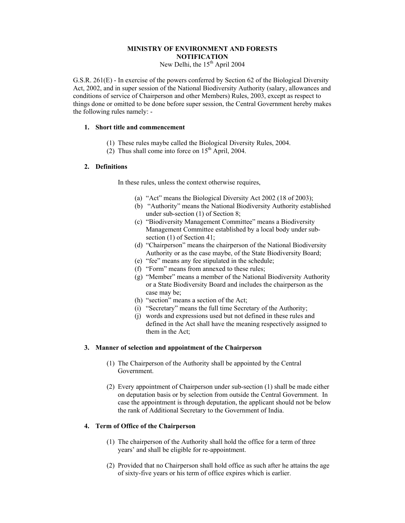### **MINISTRY OF ENVIRONMENT AND FORESTS NOTIFICATION**

New Delhi, the 15<sup>th</sup> April 2004

G.S.R. 261(E) - In exercise of the powers conferred by Section 62 of the Biological Diversity Act, 2002, and in super session of the National Biodiversity Authority (salary, allowances and conditions of service of Chairperson and other Members) Rules, 2003, except as respect to things done or omitted to be done before super session, the Central Government hereby makes the following rules namely: -

### **1. Short title and commencement**

- (1) These rules maybe called the Biological Diversity Rules, 2004.
- (2) Thus shall come into force on  $15<sup>th</sup>$  April, 2004.

#### **2. Definitions**

In these rules, unless the context otherwise requires,

- (a) "Act" means the Biological Diversity Act 2002 (18 of 2003);
- (b) "Authority" means the National Biodiversity Authority established under sub-section (1) of Section 8;
- (c) "Biodiversity Management Committee" means a Biodiversity Management Committee established by a local body under subsection (1) of Section 41:
- (d) "Chairperson" means the chairperson of the National Biodiversity Authority or as the case maybe, of the State Biodiversity Board;
- (e) "fee" means any fee stipulated in the schedule;
- (f) "Form" means from annexed to these rules;
- (g) "Member" means a member of the National Biodiversity Authority or a State Biodiversity Board and includes the chairperson as the case may be;
- (h) "section" means a section of the Act;
- (i) "Secretary" means the full time Secretary of the Authority;
- (j) words and expressions used but not defined in these rules and defined in the Act shall have the meaning respectively assigned to them in the Act;

### **3. Manner of selection and appointment of the Chairperson**

- (1) The Chairperson of the Authority shall be appointed by the Central Government.
- (2) Every appointment of Chairperson under sub-section (1) shall be made either on deputation basis or by selection from outside the Central Government. In case the appointment is through deputation, the applicant should not be below the rank of Additional Secretary to the Government of India.

#### **4. Term of Office of the Chairperson**

- (1) The chairperson of the Authority shall hold the office for a term of three years' and shall be eligible for re-appointment.
- (2) Provided that no Chairperson shall hold office as such after he attains the age of sixty-five years or his term of office expires which is earlier.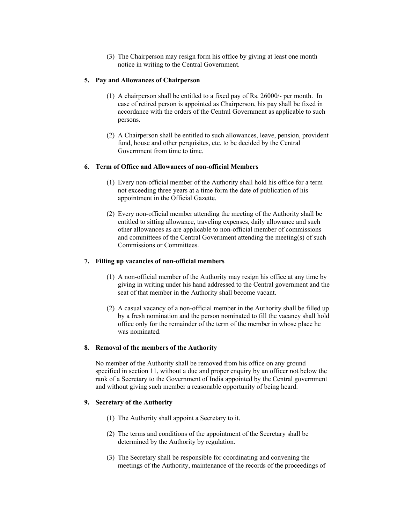(3) The Chairperson may resign form his office by giving at least one month notice in writing to the Central Government.

#### **5. Pay and Allowances of Chairperson**

- (1) A chairperson shall be entitled to a fixed pay of Rs. 26000/- per month. In case of retired person is appointed as Chairperson, his pay shall be fixed in accordance with the orders of the Central Government as applicable to such persons.
- (2) A Chairperson shall be entitled to such allowances, leave, pension, provident fund, house and other perquisites, etc. to be decided by the Central Government from time to time.

### **6. Term of Office and Allowances of non-official Members**

- (1) Every non-official member of the Authority shall hold his office for a term not exceeding three years at a time form the date of publication of his appointment in the Official Gazette.
- (2) Every non-official member attending the meeting of the Authority shall be entitled to sitting allowance, traveling expenses, daily allowance and such other allowances as are applicable to non-official member of commissions and committees of the Central Government attending the meeting(s) of such Commissions or Committees.

#### **7. Filling up vacancies of non-official members**

- (1) A non-official member of the Authority may resign his office at any time by giving in writing under his hand addressed to the Central government and the seat of that member in the Authority shall become vacant.
- (2) A casual vacancy of a non-official member in the Authority shall be filled up by a fresh nomination and the person nominated to fill the vacancy shall hold office only for the remainder of the term of the member in whose place he was nominated.

#### **8. Removal of the members of the Authority**

No member of the Authority shall be removed from his office on any ground specified in section 11, without a due and proper enquiry by an officer not below the rank of a Secretary to the Government of India appointed by the Central government and without giving such member a reasonable opportunity of being heard.

#### **9. Secretary of the Authority**

- (1) The Authority shall appoint a Secretary to it.
- (2) The terms and conditions of the appointment of the Secretary shall be determined by the Authority by regulation.
- (3) The Secretary shall be responsible for coordinating and convening the meetings of the Authority, maintenance of the records of the proceedings of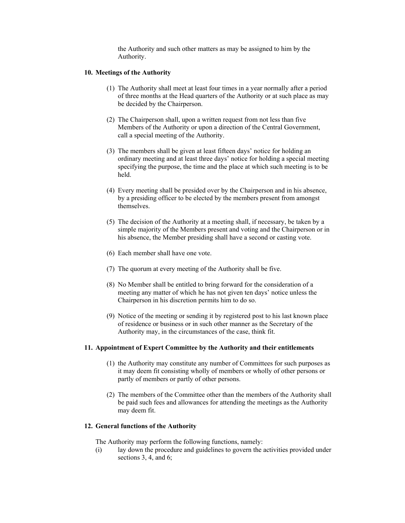the Authority and such other matters as may be assigned to him by the Authority.

### **10. Meetings of the Authority**

- (1) The Authority shall meet at least four times in a year normally after a period of three months at the Head quarters of the Authority or at such place as may be decided by the Chairperson.
- (2) The Chairperson shall, upon a written request from not less than five Members of the Authority or upon a direction of the Central Government, call a special meeting of the Authority.
- (3) The members shall be given at least fifteen days' notice for holding an ordinary meeting and at least three days' notice for holding a special meeting specifying the purpose, the time and the place at which such meeting is to be held.
- (4) Every meeting shall be presided over by the Chairperson and in his absence, by a presiding officer to be elected by the members present from amongst themselves.
- (5) The decision of the Authority at a meeting shall, if necessary, be taken by a simple majority of the Members present and voting and the Chairperson or in his absence, the Member presiding shall have a second or casting vote.
- (6) Each member shall have one vote.
- (7) The quorum at every meeting of the Authority shall be five.
- (8) No Member shall be entitled to bring forward for the consideration of a meeting any matter of which he has not given ten days' notice unless the Chairperson in his discretion permits him to do so.
- (9) Notice of the meeting or sending it by registered post to his last known place of residence or business or in such other manner as the Secretary of the Authority may, in the circumstances of the case, think fit.

#### **11. Appointment of Expert Committee by the Authority and their entitlements**

- (1) the Authority may constitute any number of Committees for such purposes as it may deem fit consisting wholly of members or wholly of other persons or partly of members or partly of other persons.
- (2) The members of the Committee other than the members of the Authority shall be paid such fees and allowances for attending the meetings as the Authority may deem fit.

### **12. General functions of the Authority**

The Authority may perform the following functions, namely:

(i) lay down the procedure and guidelines to govern the activities provided under sections 3, 4, and 6;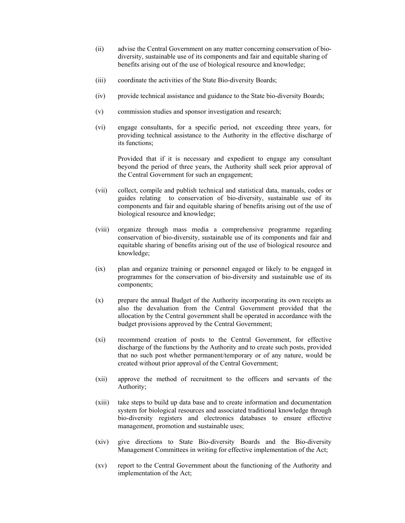- (ii) advise the Central Government on any matter concerning conservation of biodiversity, sustainable use of its components and fair and equitable sharing of benefits arising out of the use of biological resource and knowledge;
- (iii) coordinate the activities of the State Bio-diversity Boards;
- (iv) provide technical assistance and guidance to the State bio-diversity Boards;
- (v) commission studies and sponsor investigation and research;
- (vi) engage consultants, for a specific period, not exceeding three years, for providing technical assistance to the Authority in the effective discharge of its functions;

Provided that if it is necessary and expedient to engage any consultant beyond the period of three years, the Authority shall seek prior approval of the Central Government for such an engagement;

- (vii) collect, compile and publish technical and statistical data, manuals, codes or guides relating to conservation of bio-diversity, sustainable use of its components and fair and equitable sharing of benefits arising out of the use of biological resource and knowledge;
- (viii) organize through mass media a comprehensive programme regarding conservation of bio-diversity, sustainable use of its components and fair and equitable sharing of benefits arising out of the use of biological resource and knowledge;
- (ix) plan and organize training or personnel engaged or likely to be engaged in programmes for the conservation of bio-diversity and sustainable use of its components;
- (x) prepare the annual Budget of the Authority incorporating its own receipts as also the devaluation from the Central Government provided that the allocation by the Central government shall be operated in accordance with the budget provisions approved by the Central Government;
- (xi) recommend creation of posts to the Central Government, for effective discharge of the functions by the Authority and to create such posts, provided that no such post whether permanent/temporary or of any nature, would be created without prior approval of the Central Government;
- (xii) approve the method of recruitment to the officers and servants of the Authority;
- (xiii) take steps to build up data base and to create information and documentation system for biological resources and associated traditional knowledge through bio-diversity registers and electronics databases to ensure effective management, promotion and sustainable uses;
- (xiv) give directions to State Bio-diversity Boards and the Bio-diversity Management Committees in writing for effective implementation of the Act;
- (xv) report to the Central Government about the functioning of the Authority and implementation of the Act;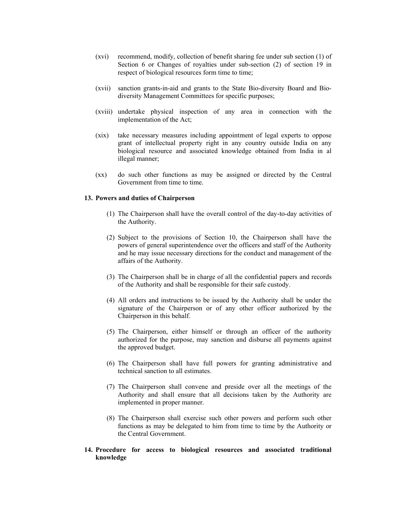- (xvi) recommend, modify, collection of benefit sharing fee under sub section (1) of Section 6 or Changes of royalties under sub-section (2) of section 19 in respect of biological resources form time to time;
- (xvii) sanction grants-in-aid and grants to the State Bio-diversity Board and Biodiversity Management Committees for specific purposes;
- (xviii) undertake physical inspection of any area in connection with the implementation of the Act;
- (xix) take necessary measures including appointment of legal experts to oppose grant of intellectual property right in any country outside India on any biological resource and associated knowledge obtained from India in al illegal manner;
- (xx) do such other functions as may be assigned or directed by the Central Government from time to time.

#### **13. Powers and duties of Chairperson**

- (1) The Chairperson shall have the overall control of the day-to-day activities of the Authority.
- (2) Subject to the provisions of Section 10, the Chairperson shall have the powers of general superintendence over the officers and staff of the Authority and he may issue necessary directions for the conduct and management of the affairs of the Authority.
- (3) The Chairperson shall be in charge of all the confidential papers and records of the Authority and shall be responsible for their safe custody.
- (4) All orders and instructions to be issued by the Authority shall be under the signature of the Chairperson or of any other officer authorized by the Chairperson in this behalf.
- (5) The Chairperson, either himself or through an officer of the authority authorized for the purpose, may sanction and disburse all payments against the approved budget.
- (6) The Chairperson shall have full powers for granting administrative and technical sanction to all estimates.
- (7) The Chairperson shall convene and preside over all the meetings of the Authority and shall ensure that all decisions taken by the Authority are implemented in proper manner.
- (8) The Chairperson shall exercise such other powers and perform such other functions as may be delegated to him from time to time by the Authority or the Central Government.
- **14. Procedure for access to biological resources and associated traditional knowledge**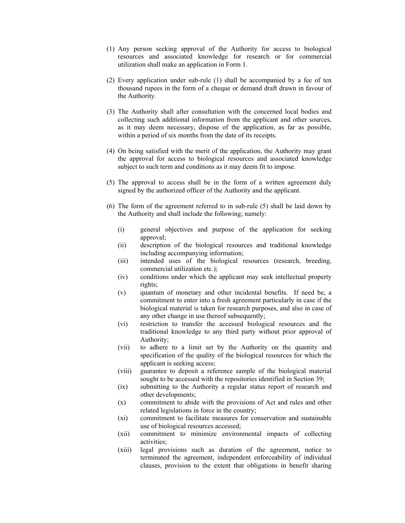- (1) Any person seeking approval of the Authority for access to biological resources and associated knowledge for research or for commercial utilization shall make an application in Form 1.
- (2) Every application under sub-rule (1) shall be accompanied by a fee of ten thousand rupees in the form of a cheque or demand draft drawn in favour of the Authority.
- (3) The Authority shall after consultation with the concerned local bodies and collecting such additional information from the applicant and other sources, as it may deem necessary, dispose of the application, as far as possible, within a period of six months from the date of its receipts.
- (4) On being satisfied with the merit of the application, the Authority may grant the approval for access to biological resources and associated knowledge subject to such term and conditions as it may deem fit to impose.
- (5) The approval to access shall be in the form of a written agreement duly signed by the authorized officer of the Authority and the applicant.
- (6) The form of the agreement referred to in sub-rule (5) shall be laid down by the Authority and shall include the following; namely:
	- (i) general objectives and purpose of the application for seeking approval;
	- (ii) description of the biological resources and traditional knowledge including accompanying information;
	- (iii) intended uses of the biological resources (research, breeding, commercial utilization etc.);
	- (iv) conditions under which the applicant may seek intellectual property rights;
	- (v) quantum of monetary and other incidental benefits. If need be, a commitment to enter into a fresh agreement particularly in case if the biological material is taken for research purposes, and also in case of any other change in use thereof subsequently;
	- (vi) restriction to transfer the accessed biological resources and the traditional knowledge to any third party without prior approval of Authority;
	- (vii) to adhere to a limit set by the Authority on the quantity and specification of the quality of the biological resources for which the applicant is seeking access;
	- (viii) guarantee to deposit a reference sample of the biological material sought to be accessed with the repositories identified in Section 39;
	- (ix) submitting to the Authority a regular status report of research and other developments;
	- (x) commitment to abide with the provisions of Act and rules and other related legislations in force in the country;
	- (xi) commitment to facilitate measures for conservation and sustainable use of biological resources accessed;
	- (xii) commitment to minimize environmental impacts of collecting activities;
	- (xiii) legal provisions such as duration of the agreement, notice to terminated the agreement, independent enforceability of individual clauses, provision to the extent that obligations in benefit sharing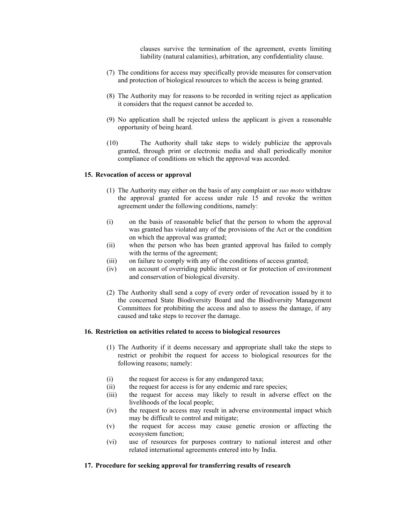clauses survive the termination of the agreement, events limiting liability (natural calamities), arbitration, any confidentiality clause.

- (7) The conditions for access may specifically provide measures for conservation and protection of biological resources to which the access is being granted.
- (8) The Authority may for reasons to be recorded in writing reject as application it considers that the request cannot be acceded to.
- (9) No application shall be rejected unless the applicant is given a reasonable opportunity of being heard.
- (10) The Authority shall take steps to widely publicize the approvals granted, through print or electronic media and shall periodically monitor compliance of conditions on which the approval was accorded.

### **15. Revocation of access or approval**

- (1) The Authority may either on the basis of any complaint or *suo moto* withdraw the approval granted for access under rule 15 and revoke the written agreement under the following conditions, namely:
- (i) on the basis of reasonable belief that the person to whom the approval was granted has violated any of the provisions of the Act or the condition on which the approval was granted;
- (ii) when the person who has been granted approval has failed to comply with the terms of the agreement;
- (iii) on failure to comply with any of the conditions of access granted;
- (iv) on account of overriding public interest or for protection of environment and conservation of biological diversity.
- (2) The Authority shall send a copy of every order of revocation issued by it to the concerned State Biodiversity Board and the Biodiversity Management Committees for prohibiting the access and also to assess the damage, if any caused and take steps to recover the damage.

#### **16. Restriction on activities related to access to biological resources**

- (1) The Authority if it deems necessary and appropriate shall take the steps to restrict or prohibit the request for access to biological resources for the following reasons; namely:
- (i) the request for access is for any endangered taxa;
- (ii) the request for access is for any endemic and rare species;
- (iii) the request for access may likely to result in adverse effect on the livelihoods of the local people;
- (iv) the request to access may result in adverse environmental impact which may be difficult to control and mitigate;
- (v) the request for access may cause genetic erosion or affecting the ecosystem function;
- (vi) use of resources for purposes contrary to national interest and other related international agreements entered into by India.

#### **17. Procedure for seeking approval for transferring results of research**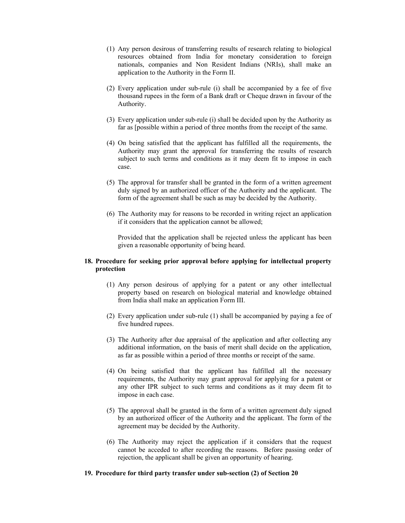- (1) Any person desirous of transferring results of research relating to biological resources obtained from India for monetary consideration to foreign nationals, companies and Non Resident Indians (NRIs), shall make an application to the Authority in the Form II.
- (2) Every application under sub-rule (i) shall be accompanied by a fee of five thousand rupees in the form of a Bank draft or Cheque drawn in favour of the Authority.
- (3) Every application under sub-rule (i) shall be decided upon by the Authority as far as [possible within a period of three months from the receipt of the same.
- (4) On being satisfied that the applicant has fulfilled all the requirements, the Authority may grant the approval for transferring the results of research subject to such terms and conditions as it may deem fit to impose in each case.
- (5) The approval for transfer shall be granted in the form of a written agreement duly signed by an authorized officer of the Authority and the applicant. The form of the agreement shall be such as may be decided by the Authority.
- (6) The Authority may for reasons to be recorded in writing reject an application if it considers that the application cannot be allowed;

Provided that the application shall be rejected unless the applicant has been given a reasonable opportunity of being heard.

### **18. Procedure for seeking prior approval before applying for intellectual property protection**

- (1) Any person desirous of applying for a patent or any other intellectual property based on research on biological material and knowledge obtained from India shall make an application Form III.
- (2) Every application under sub-rule (1) shall be accompanied by paying a fee of five hundred rupees.
- (3) The Authority after due appraisal of the application and after collecting any additional information, on the basis of merit shall decide on the application, as far as possible within a period of three months or receipt of the same.
- (4) On being satisfied that the applicant has fulfilled all the necessary requirements, the Authority may grant approval for applying for a patent or any other IPR subject to such terms and conditions as it may deem fit to impose in each case.
- (5) The approval shall be granted in the form of a written agreement duly signed by an authorized officer of the Authority and the applicant. The form of the agreement may be decided by the Authority.
- (6) The Authority may reject the application if it considers that the request cannot be acceded to after recording the reasons. Before passing order of rejection, the applicant shall be given an opportunity of hearing.

#### **19. Procedure for third party transfer under sub-section (2) of Section 20**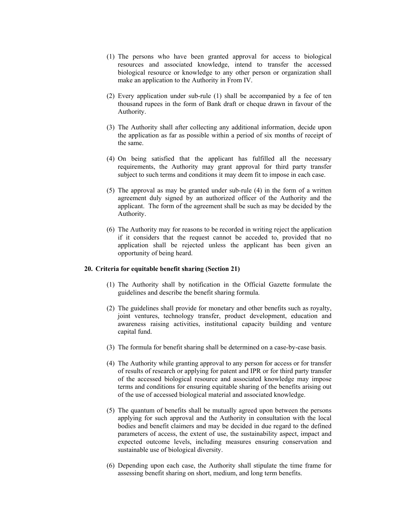- (1) The persons who have been granted approval for access to biological resources and associated knowledge, intend to transfer the accessed biological resource or knowledge to any other person or organization shall make an application to the Authority in From IV.
- (2) Every application under sub-rule (1) shall be accompanied by a fee of ten thousand rupees in the form of Bank draft or cheque drawn in favour of the Authority.
- (3) The Authority shall after collecting any additional information, decide upon the application as far as possible within a period of six months of receipt of the same.
- (4) On being satisfied that the applicant has fulfilled all the necessary requirements, the Authority may grant approval for third party transfer subject to such terms and conditions it may deem fit to impose in each case.
- (5) The approval as may be granted under sub-rule (4) in the form of a written agreement duly signed by an authorized officer of the Authority and the applicant. The form of the agreement shall be such as may be decided by the Authority.
- (6) The Authority may for reasons to be recorded in writing reject the application if it considers that the request cannot be acceded to, provided that no application shall be rejected unless the applicant has been given an opportunity of being heard.

#### **20. Criteria for equitable benefit sharing (Section 21)**

- (1) The Authority shall by notification in the Official Gazette formulate the guidelines and describe the benefit sharing formula.
- (2) The guidelines shall provide for monetary and other benefits such as royalty, joint ventures, technology transfer, product development, education and awareness raising activities, institutional capacity building and venture capital fund.
- (3) The formula for benefit sharing shall be determined on a case-by-case basis.
- (4) The Authority while granting approval to any person for access or for transfer of results of research or applying for patent and IPR or for third party transfer of the accessed biological resource and associated knowledge may impose terms and conditions for ensuring equitable sharing of the benefits arising out of the use of accessed biological material and associated knowledge.
- (5) The quantum of benefits shall be mutually agreed upon between the persons applying for such approval and the Authority in consultation with the local bodies and benefit claimers and may be decided in due regard to the defined parameters of access, the extent of use, the sustainability aspect, impact and expected outcome levels, including measures ensuring conservation and sustainable use of biological diversity.
- (6) Depending upon each case, the Authority shall stipulate the time frame for assessing benefit sharing on short, medium, and long term benefits.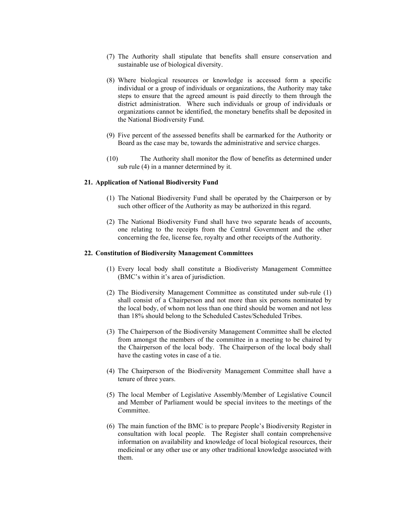- (7) The Authority shall stipulate that benefits shall ensure conservation and sustainable use of biological diversity.
- (8) Where biological resources or knowledge is accessed form a specific individual or a group of individuals or organizations, the Authority may take steps to ensure that the agreed amount is paid directly to them through the district administration. Where such individuals or group of individuals or organizations cannot be identified, the monetary benefits shall be deposited in the National Biodiversity Fund.
- (9) Five percent of the assessed benefits shall be earmarked for the Authority or Board as the case may be, towards the administrative and service charges.
- (10) The Authority shall monitor the flow of benefits as determined under sub rule (4) in a manner determined by it.

#### **21. Application of National Biodiversity Fund**

- (1) The National Biodiversity Fund shall be operated by the Chairperson or by such other officer of the Authority as may be authorized in this regard.
- (2) The National Biodiversity Fund shall have two separate heads of accounts, one relating to the receipts from the Central Government and the other concerning the fee, license fee, royalty and other receipts of the Authority.

#### **22. Constitution of Biodiversity Management Committees**

- (1) Every local body shall constitute a Biodiveristy Management Committee (BMC's within it's area of jurisdiction.
- (2) The Biodiversity Management Committee as constituted under sub-rule (1) shall consist of a Chairperson and not more than six persons nominated by the local body, of whom not less than one third should be women and not less than 18% should belong to the Scheduled Castes/Scheduled Tribes.
- (3) The Chairperson of the Biodiversity Management Committee shall be elected from amongst the members of the committee in a meeting to be chaired by the Chairperson of the local body. The Chairperson of the local body shall have the casting votes in case of a tie.
- (4) The Chairperson of the Biodiversity Management Committee shall have a tenure of three years.
- (5) The local Member of Legislative Assembly/Member of Legislative Council and Member of Parliament would be special invitees to the meetings of the Committee.
- (6) The main function of the BMC is to prepare People's Biodiversity Register in consultation with local people. The Register shall contain comprehensive information on availability and knowledge of local biological resources, their medicinal or any other use or any other traditional knowledge associated with them.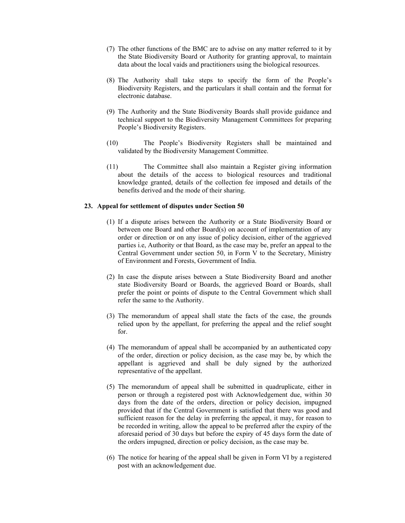- (7) The other functions of the BMC are to advise on any matter referred to it by the State Biodiversity Board or Authority for granting approval, to maintain data about the local vaids and practitioners using the biological resources.
- (8) The Authority shall take steps to specify the form of the People's Biodiversity Registers, and the particulars it shall contain and the format for electronic database.
- (9) The Authority and the State Biodiversity Boards shall provide guidance and technical support to the Biodiversity Management Committees for preparing People's Biodiversity Registers.
- (10) The People's Biodiversity Registers shall be maintained and validated by the Biodiversity Management Committee.
- (11) The Committee shall also maintain a Register giving information about the details of the access to biological resources and traditional knowledge granted, details of the collection fee imposed and details of the benefits derived and the mode of their sharing.

#### **23. Appeal for settlement of disputes under Section 50**

- (1) If a dispute arises between the Authority or a State Biodiversity Board or between one Board and other Board(s) on account of implementation of any order or direction or on any issue of policy decision, either of the aggrieved parties i.e, Authority or that Board, as the case may be, prefer an appeal to the Central Government under section 50, in Form V to the Secretary, Ministry of Environment and Forests, Government of India.
- (2) In case the dispute arises between a State Biodiversity Board and another state Biodiversity Board or Boards, the aggrieved Board or Boards, shall prefer the point or points of dispute to the Central Government which shall refer the same to the Authority.
- (3) The memorandum of appeal shall state the facts of the case, the grounds relied upon by the appellant, for preferring the appeal and the relief sought for.
- (4) The memorandum of appeal shall be accompanied by an authenticated copy of the order, direction or policy decision, as the case may be, by which the appellant is aggrieved and shall be duly signed by the authorized representative of the appellant.
- (5) The memorandum of appeal shall be submitted in quadruplicate, either in person or through a registered post with Acknowledgement due, within 30 days from the date of the orders, direction or policy decision, impugned provided that if the Central Government is satisfied that there was good and sufficient reason for the delay in preferring the appeal, it may, for reason to be recorded in writing, allow the appeal to be preferred after the expiry of the aforesaid period of 30 days but before the expiry of 45 days form the date of the orders impugned, direction or policy decision, as the case may be.
- (6) The notice for hearing of the appeal shall be given in Form VI by a registered post with an acknowledgement due.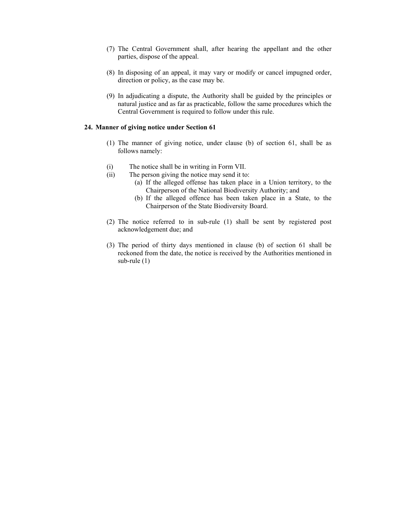- (7) The Central Government shall, after hearing the appellant and the other parties, dispose of the appeal.
- (8) In disposing of an appeal, it may vary or modify or cancel impugned order, direction or policy, as the case may be.
- (9) In adjudicating a dispute, the Authority shall be guided by the principles or natural justice and as far as practicable, follow the same procedures which the Central Government is required to follow under this rule.

#### **24. Manner of giving notice under Section 61**

- (1) The manner of giving notice, under clause (b) of section 61, shall be as follows namely:
- (i) The notice shall be in writing in Form VII.
- (ii) The person giving the notice may send it to:
	- (a) If the alleged offense has taken place in a Union territory, to the Chairperson of the National Biodiversity Authority; and
	- (b) If the alleged offence has been taken place in a State, to the Chairperson of the State Biodiversity Board.
- (2) The notice referred to in sub-rule (1) shall be sent by registered post acknowledgement due; and
- (3) The period of thirty days mentioned in clause (b) of section 61 shall be reckoned from the date, the notice is received by the Authorities mentioned in sub-rule (1)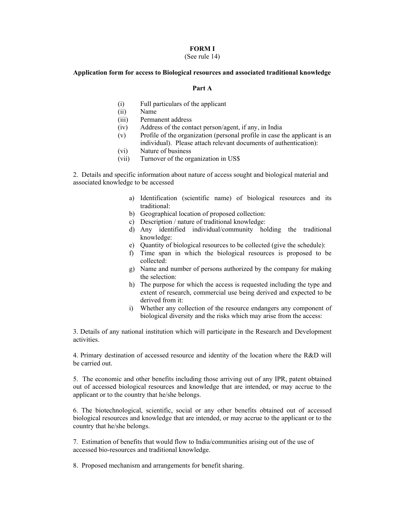#### **FORM I**

### (See rule 14)

#### **Application form for access to Biological resources and associated traditional knowledge**

#### **Part A**

- (i) Full particulars of the applicant
- (ii) Name
- (iii) Permanent address
- (iv) Address of the contact person/agent, if any, in India
- (v) Profile of the organization (personal profile in case the applicant is an individual). Please attach relevant documents of authentication):
- (vi) Nature of business
- (vii) Turnover of the organization in US\$

2. Details and specific information about nature of access sought and biological material and associated knowledge to be accessed

- a) Identification (scientific name) of biological resources and its traditional:
- b) Geographical location of proposed collection:
- c) Description / nature of traditional knowledge:
- d) Any identified individual/community holding the traditional knowledge:
- e) Quantity of biological resources to be collected (give the schedule):
- f) Time span in which the biological resources is proposed to be collected:
- g) Name and number of persons authorized by the company for making the selection:
- h) The purpose for which the access is requested including the type and extent of research, commercial use being derived and expected to be derived from it:
- i) Whether any collection of the resource endangers any component of biological diversity and the risks which may arise from the access:

3. Details of any national institution which will participate in the Research and Development activities.

4. Primary destination of accessed resource and identity of the location where the R&D will be carried out.

5. The economic and other benefits including those arriving out of any IPR, patent obtained out of accessed biological resources and knowledge that are intended, or may accrue to the applicant or to the country that he/she belongs.

6. The biotechnological, scientific, social or any other benefits obtained out of accessed biological resources and knowledge that are intended, or may accrue to the applicant or to the country that he/she belongs.

7. Estimation of benefits that would flow to India/communities arising out of the use of accessed bio-resources and traditional knowledge.

8. Proposed mechanism and arrangements for benefit sharing.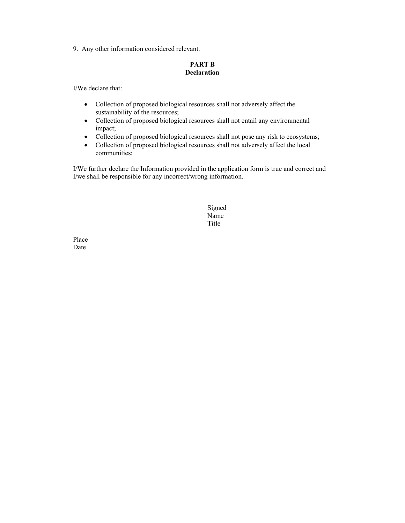9. Any other information considered relevant.

### **PART B Declaration**

I/We declare that:

- Collection of proposed biological resources shall not adversely affect the sustainability of the resources;
- Collection of proposed biological resources shall not entail any environmental impact;
- Collection of proposed biological resources shall not pose any risk to ecosystems;
- Collection of proposed biological resources shall not adversely affect the local communities;

I/We further declare the Information provided in the application form is true and correct and I/we shall be responsible for any incorrect/wrong information.

 Signed Name<br>Title **Title**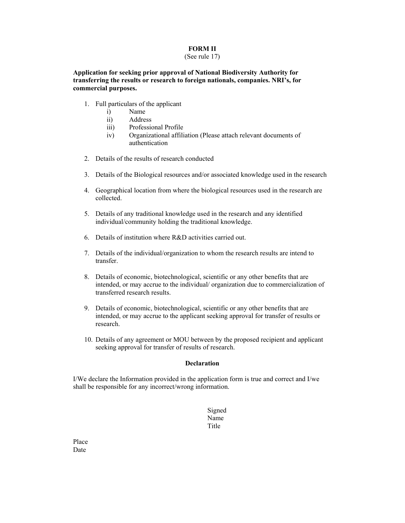### **FORM II**

#### (See rule 17)

**Application for seeking prior approval of National Biodiversity Authority for transferring the results or research to foreign nationals, companies. NRI's, for commercial purposes.** 

- 1. Full particulars of the applicant
	- i) Name
	- ii) Address
	- iii) Professional Profile
	- iv) Organizational affiliation (Please attach relevant documents of authentication
- 2. Details of the results of research conducted
- 3. Details of the Biological resources and/or associated knowledge used in the research
- 4. Geographical location from where the biological resources used in the research are collected.
- 5. Details of any traditional knowledge used in the research and any identified individual/community holding the traditional knowledge.
- 6. Details of institution where R&D activities carried out.
- 7. Details of the individual/organization to whom the research results are intend to transfer.
- 8. Details of economic, biotechnological, scientific or any other benefits that are intended, or may accrue to the individual/ organization due to commercialization of transferred research results.
- 9. Details of economic, biotechnological, scientific or any other benefits that are intended, or may accrue to the applicant seeking approval for transfer of results or research.
- 10. Details of any agreement or MOU between by the proposed recipient and applicant seeking approval for transfer of results of research.

### **Declaration**

I/We declare the Information provided in the application form is true and correct and I/we shall be responsible for any incorrect/wrong information.

 Signed Name **Title**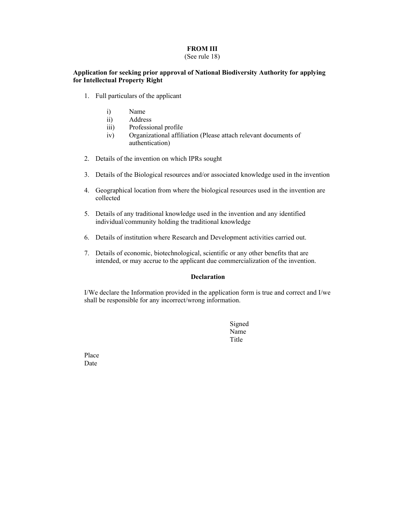### **FROM III**

### (See rule 18)

### **Application for seeking prior approval of National Biodiversity Authority for applying for Intellectual Property Right**

- 1. Full particulars of the applicant
	- i) Name
	- ii) Address
	- iii) Professional profile
	- iv) Organizational affiliation (Please attach relevant documents of authentication)
- 2. Details of the invention on which IPRs sought
- 3. Details of the Biological resources and/or associated knowledge used in the invention
- 4. Geographical location from where the biological resources used in the invention are collected
- 5. Details of any traditional knowledge used in the invention and any identified individual/community holding the traditional knowledge
- 6. Details of institution where Research and Development activities carried out.
- 7. Details of economic, biotechnological, scientific or any other benefits that are intended, or may accrue to the applicant due commercialization of the invention.

### **Declaration**

I/We declare the Information provided in the application form is true and correct and I/we shall be responsible for any incorrect/wrong information.

 Signed Name **Title**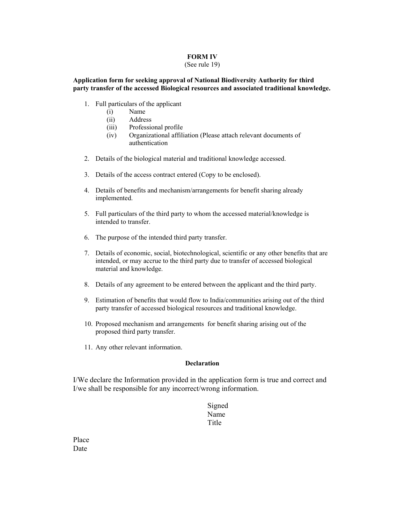### **FORM IV**

#### (See rule 19)

### **Application form for seeking approval of National Biodiversity Authority for third party transfer of the accessed Biological resources and associated traditional knowledge.**

- 1. Full particulars of the applicant
	- (i) Name
	- (ii) Address
	- (iii) Professional profile
	- (iv) Organizational affiliation (Please attach relevant documents of authentication
- 2. Details of the biological material and traditional knowledge accessed.
- 3. Details of the access contract entered (Copy to be enclosed).
- 4. Details of benefits and mechanism/arrangements for benefit sharing already implemented.
- 5. Full particulars of the third party to whom the accessed material/knowledge is intended to transfer.
- 6. The purpose of the intended third party transfer.
- 7. Details of economic, social, biotechnological, scientific or any other benefits that are intended, or may accrue to the third party due to transfer of accessed biological material and knowledge.
- 8. Details of any agreement to be entered between the applicant and the third party.
- 9. Estimation of benefits that would flow to India/communities arising out of the third party transfer of accessed biological resources and traditional knowledge.
- 10. Proposed mechanism and arrangements for benefit sharing arising out of the proposed third party transfer.
- 11. Any other relevant information.

### **Declaration**

I/We declare the Information provided in the application form is true and correct and I/we shall be responsible for any incorrect/wrong information.

# Signed Name **Title**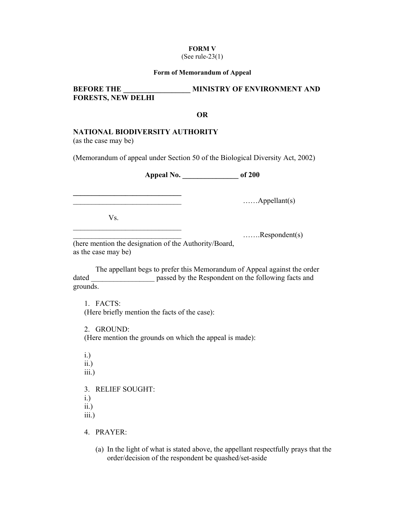### **FORM V**

### (See rule-23(1)

#### **Form of Memorandum of Appeal**

## **BEFORE THE MINISTRY OF ENVIRONMENT AND FORESTS, NEW DELHI**

### **OR**

### **NATIONAL BIODIVERSITY AUTHORITY**

(as the case may be)

(Memorandum of appeal under Section 50 of the Biological Diversity Act, 2002)

**Appeal No. \_\_\_\_\_\_\_\_\_\_\_\_\_\_\_ of 200** 

 $\ldots$  $\ldots$  $\Delta$ ppellant(s)

Vs.

**\_\_\_\_\_\_\_\_\_\_\_\_\_\_\_\_\_\_\_\_\_\_\_\_\_\_\_\_\_** 

 $\mathcal{L}_\text{max}$ 

 $\ldots \ldots \ldots$ Respondent(s)

(here mention the designation of the Authority/Board, as the case may be)

 The appellant begs to prefer this Memorandum of Appeal against the order dated **the passed by the Respondent on the following facts and** grounds.

1. FACTS: (Here briefly mention the facts of the case):

2. GROUND:

(Here mention the grounds on which the appeal is made):

i.) ii.) iii.) 3. RELIEF SOUGHT: i.) ii.) iii.)

4. PRAYER:

(a) In the light of what is stated above, the appellant respectfully prays that the order/decision of the respondent be quashed/set-aside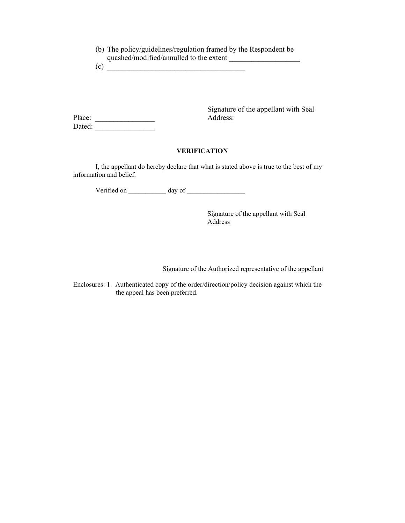(b) The policy/guidelines/regulation framed by the Respondent be quashed/modified/annulled to the extent \_\_\_\_\_\_\_\_\_\_\_\_\_\_\_\_\_\_\_

 $(c)$   $\overline{\qquad \qquad }$ 

Signature of the appellant with Seal Place: Address:

Dated: \_\_\_\_\_\_\_\_\_\_\_\_\_\_\_\_

 I, the appellant do hereby declare that what is stated above is true to the best of my information and belief.

**VERIFICATION** 

Verified on \_\_\_\_\_\_\_\_\_\_\_ day of \_\_\_\_\_\_\_\_\_\_\_\_\_\_\_\_\_

 Signature of the appellant with Seal Address

Signature of the Authorized representative of the appellant

Enclosures: 1. Authenticated copy of the order/direction/policy decision against which the the appeal has been preferred.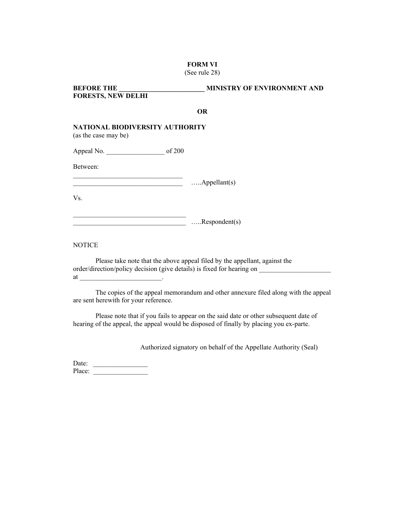**FORM VI** 

(See rule 28)

| <b>BEFORE THE</b><br><b>FORESTS, NEW DELHI</b>          | MINISTRY OF ENVIRONMENT AND |
|---------------------------------------------------------|-----------------------------|
|                                                         | <b>OR</b>                   |
| NATIONAL BIODIVERSITY AUTHORITY<br>(as the case may be) |                             |
|                                                         |                             |
| Between:                                                |                             |
|                                                         | $\ldots$ . Appellant(s)     |
| Vs.                                                     |                             |
|                                                         | $\dots$ Respondent(s)       |

**NOTICE** 

 Please take note that the above appeal filed by the appellant, against the order/direction/policy decision (give details) is fixed for hearing on at  $\qquad \qquad \qquad \qquad \qquad$ 

 The copies of the appeal memorandum and other annexure filed along with the appeal are sent herewith for your reference.

 Please note that if you fails to appear on the said date or other subsequent date of hearing of the appeal, the appeal would be disposed of finally by placing you ex-parte.

Authorized signatory on behalf of the Appellate Authority (Seal)

Date:  $\frac{\frac{1}{2} \cdot \frac{1}{2} \cdot \frac{1}{2} \cdot \frac{1}{2} \cdot \frac{1}{2} \cdot \frac{1}{2} \cdot \frac{1}{2} \cdot \frac{1}{2} \cdot \frac{1}{2} \cdot \frac{1}{2} \cdot \frac{1}{2} \cdot \frac{1}{2} \cdot \frac{1}{2} \cdot \frac{1}{2} \cdot \frac{1}{2} \cdot \frac{1}{2} \cdot \frac{1}{2} \cdot \frac{1}{2} \cdot \frac{1}{2} \cdot \frac{1}{2} \cdot \frac{1}{2} \cdot \frac{1}{2} \cdot \frac{1}{2} \cdot \frac{1}{$ Place: \_\_\_\_\_\_\_\_\_\_\_\_\_\_\_\_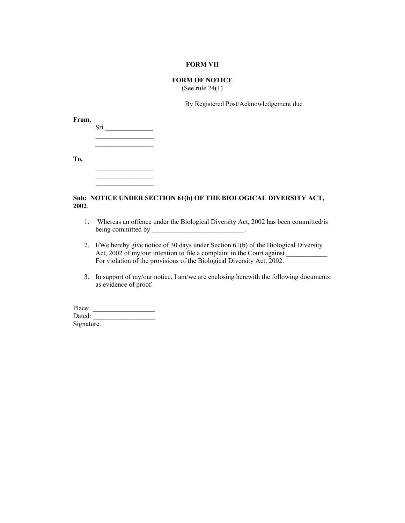#### **FORM VII**

# **FORM OF NOTICE**

(See rule 24(1)

By Registered Post/Acknowledgement due

| From, | Sri |
|-------|-----|
|       |     |
| To,   |     |
|       |     |

 $\mathcal{L}=\mathcal{L}=\mathcal{L}=\mathcal{L}=\mathcal{L}=\mathcal{L}=\mathcal{L}=\mathcal{L}=\mathcal{L}=\mathcal{L}=\mathcal{L}=\mathcal{L}=\mathcal{L}=\mathcal{L}=\mathcal{L}=\mathcal{L}=\mathcal{L}=\mathcal{L}=\mathcal{L}=\mathcal{L}=\mathcal{L}=\mathcal{L}=\mathcal{L}=\mathcal{L}=\mathcal{L}=\mathcal{L}=\mathcal{L}=\mathcal{L}=\mathcal{L}=\mathcal{L}=\mathcal{L}=\mathcal{L}=\mathcal{L}=\mathcal{L}=\mathcal{L}=\mathcal{L}=\mathcal{$ 

### **Sub: NOTICE UNDER SECTION 61(b) OF THE BIOLOGICAL DIVERSITY ACT, 2002**.

- 1. Whereas an offence under the Biological Diversity Act, 2002 has been committed/is being committed by  $\blacksquare$
- 2. I/We hereby give notice of 30 days under Section 61(b) of the Biological Diversity Act, 2002 of my/our intention to file a complaint in the Court against For violation of the provisions of the Biological Diversity Act, 2002.
- 3. In support of my/our notice, I am/we are enclosing herewith the following documents as evidence of proof.

Place: \_\_\_\_\_\_\_\_\_\_\_\_\_\_\_\_\_\_ Dated: **Signature**